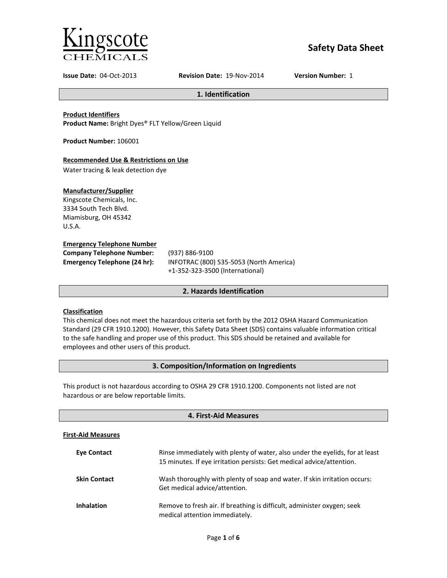

# **Safety Data Sheet**

**Issue Date:** 04-Oct-2013 **Revision Date:** 19-Nov-2014 **Version Number:** 1

**1. Identification**

**Product Identifiers**

**Product Name:** Bright Dyes® FLT Yellow/Green Liquid

**Product Number:** 106001

# **Recommended Use & Restrictions on Use**

Water tracing & leak detection dye

# **Manufacturer/Supplier**

Kingscote Chemicals, Inc. 3334 South Tech Blvd. Miamisburg, OH 45342 U.S.A.

#### **Emergency Telephone Number**

| <b>Company Telephone Number:</b>    | (937)       |
|-------------------------------------|-------------|
| <b>Emergency Telephone (24 hr):</b> | <b>INFC</b> |
|                                     |             |

**Company Telephone Number:** (937) 886-9100 **Emergency Telephone (24 hr):** INFOTRAC (800) 535-5053 (North America) +1-352-323-3500 (International)

# **2. Hazards Identification**

# **Classification**

This chemical does not meet the hazardous criteria set forth by the 2012 OSHA Hazard Communication Standard (29 CFR 1910.1200). However, this Safety Data Sheet (SDS) contains valuable information critical to the safe handling and proper use of this product. This SDS should be retained and available for employees and other users of this product.

# **3. Composition/Information on Ingredients**

This product is not hazardous according to OSHA 29 CFR 1910.1200. Components not listed are not hazardous or are below reportable limits.

| 4. First-Aid Measures     |                                                                                                                                                       |
|---------------------------|-------------------------------------------------------------------------------------------------------------------------------------------------------|
| <b>First-Aid Measures</b> |                                                                                                                                                       |
| <b>Eve Contact</b>        | Rinse immediately with plenty of water, also under the eyelids, for at least<br>15 minutes. If eye irritation persists: Get medical advice/attention. |
| <b>Skin Contact</b>       | Wash thoroughly with plenty of soap and water. If skin irritation occurs:<br>Get medical advice/attention.                                            |
| <b>Inhalation</b>         | Remove to fresh air. If breathing is difficult, administer oxygen; seek<br>medical attention immediately.                                             |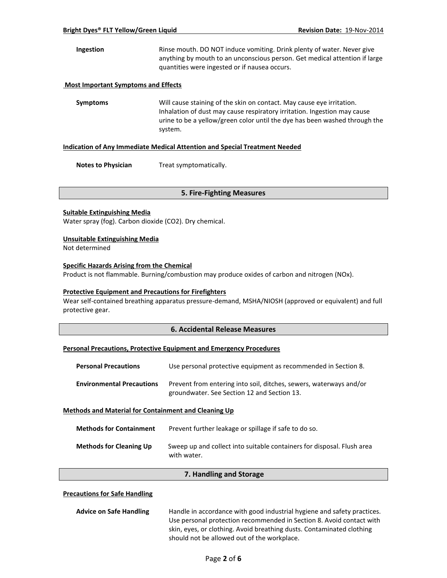**Ingestion** Rinse mouth. DO NOT induce vomiting. Drink plenty of water. Never give anything by mouth to an unconscious person. Get medical attention if large quantities were ingested or if nausea occurs.

#### **Most Important Symptoms and Effects**

**Symptoms** Will cause staining of the skin on contact. May cause eye irritation. Inhalation of dust may cause respiratory irritation. Ingestion may cause urine to be a yellow/green color until the dye has been washed through the system.

#### **Indication of Any Immediate Medical Attention and Special Treatment Needed**

**Notes to Physician** Treat symptomatically.

#### **5. Fire-Fighting Measures**

#### **Suitable Extinguishing Media**

Water spray (fog). Carbon dioxide (CO2). Dry chemical.

#### **Unsuitable Extinguishing Media**

Not determined

# **Specific Hazards Arising from the Chemical**

Product is not flammable. Burning/combustion may produce oxides of carbon and nitrogen (NOx).

#### **Protective Equipment and Precautions for Firefighters**

Wear self-contained breathing apparatus pressure-demand, MSHA/NIOSH (approved or equivalent) and full protective gear.

#### **6. Accidental Release Measures**

#### **Personal Precautions, Protective Equipment and Emergency Procedures**

| <b>Personal Precautions</b>                                 | Use personal protective equipment as recommended in Section 8.                                                    |  |
|-------------------------------------------------------------|-------------------------------------------------------------------------------------------------------------------|--|
| <b>Environmental Precautions</b>                            | Prevent from entering into soil, ditches, sewers, waterways and/or<br>groundwater. See Section 12 and Section 13. |  |
| <b>Methods and Material for Containment and Cleaning Up</b> |                                                                                                                   |  |
| <b>Methods for Containment</b>                              | Prevent further leakage or spillage if safe to do so                                                              |  |

| <b>Methods for Cleaning Up</b> | Sweep up and collect into suitable containers for disposal. Flush area<br>with water. |
|--------------------------------|---------------------------------------------------------------------------------------|

#### **7. Handling and Storage**

#### **Precautions for Safe Handling**

| <b>Advice on Safe Handling</b> | Handle in accordance with good industrial hygiene and safety practices. |
|--------------------------------|-------------------------------------------------------------------------|
|                                | Use personal protection recommended in Section 8. Avoid contact with    |
|                                | skin, eyes, or clothing. Avoid breathing dusts. Contaminated clothing   |
|                                | should not be allowed out of the workplace.                             |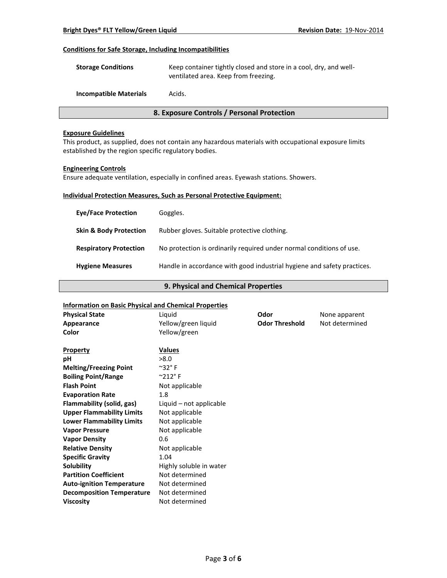# **Conditions for Safe Storage, Including Incompatibilities**

| <b>Storage Conditions</b> | Keep container tightly closed and store in a cool, dry, and well- |
|---------------------------|-------------------------------------------------------------------|
|                           | ventilated area. Keep from freezing.                              |
|                           |                                                                   |

**Incompatible Materials** Acids.

# **8. Exposure Controls / Personal Protection**

# **Exposure Guidelines**

This product, as supplied, does not contain any hazardous materials with occupational exposure limits established by the region specific regulatory bodies.

#### **Engineering Controls**

Ensure adequate ventilation, especially in confined areas. Eyewash stations. Showers.

# **Individual Protection Measures, Such as Personal Protective Equipment:**

| <b>Eye/Face Protection</b>        | Goggles.                                                                |
|-----------------------------------|-------------------------------------------------------------------------|
| <b>Skin &amp; Body Protection</b> | Rubber gloves. Suitable protective clothing.                            |
| <b>Respiratory Protection</b>     | No protection is ordinarily required under normal conditions of use.    |
| <b>Hygiene Measures</b>           | Handle in accordance with good industrial hygiene and safety practices. |

# **9. Physical and Chemical Properties**

# **Information on Basic Physical and Chemical Properties**

| <b>Physical State</b>            | Liquid                      | <b>Odor</b>           | None apparent  |
|----------------------------------|-----------------------------|-----------------------|----------------|
| Appearance                       | Yellow/green liquid         | <b>Odor Threshold</b> | Not determined |
| Color                            | Yellow/green                |                       |                |
| <b>Property</b>                  | <b>Values</b>               |                       |                |
| рH                               | >8.0                        |                       |                |
| <b>Melting/Freezing Point</b>    | $^{\sim}$ 32°F              |                       |                |
| <b>Boiling Point/Range</b>       | $^{\circ}$ 212 $^{\circ}$ F |                       |                |
| <b>Flash Point</b>               | Not applicable              |                       |                |
| <b>Evaporation Rate</b>          | 1.8                         |                       |                |
| Flammability (solid, gas)        | Liquid – not applicable     |                       |                |
| <b>Upper Flammability Limits</b> | Not applicable              |                       |                |
| <b>Lower Flammability Limits</b> | Not applicable              |                       |                |
| <b>Vapor Pressure</b>            | Not applicable              |                       |                |
| <b>Vapor Density</b>             | 0.6                         |                       |                |
| <b>Relative Density</b>          | Not applicable              |                       |                |
| <b>Specific Gravity</b>          | 1.04                        |                       |                |
| Solubility                       | Highly soluble in water     |                       |                |
| <b>Partition Coefficient</b>     | Not determined              |                       |                |
| <b>Auto-ignition Temperature</b> | Not determined              |                       |                |
| <b>Decomposition Temperature</b> | Not determined              |                       |                |
| <b>Viscosity</b>                 | Not determined              |                       |                |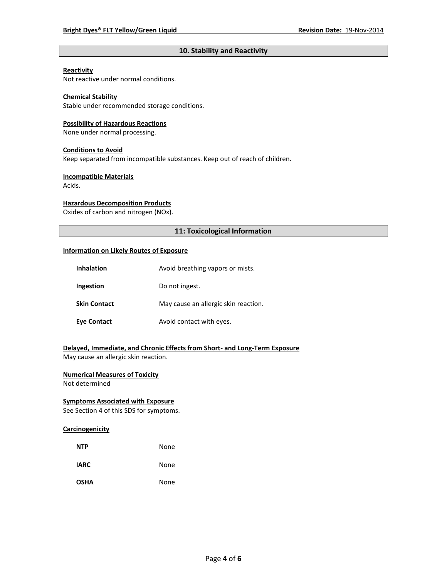# **10. Stability and Reactivity**

# **Reactivity**

Not reactive under normal conditions.

# **Chemical Stability**

Stable under recommended storage conditions.

#### **Possibility of Hazardous Reactions**

None under normal processing.

#### **Conditions to Avoid**

Keep separated from incompatible substances. Keep out of reach of children.

#### **Incompatible Materials**

Acids.

# **Hazardous Decomposition Products**

Oxides of carbon and nitrogen (NOx).

# **11: Toxicological Information**

#### **Information on Likely Routes of Exposure**

| <b>Inhalation</b>   | Avoid breathing vapors or mists.     |
|---------------------|--------------------------------------|
| Ingestion           | Do not ingest.                       |
| <b>Skin Contact</b> | May cause an allergic skin reaction. |
| <b>Eye Contact</b>  | Avoid contact with eyes.             |

# **Delayed, Immediate, and Chronic Effects from Short- and Long-Term Exposure**

May cause an allergic skin reaction.

# **Numerical Measures of Toxicity**

Not determined

# **Symptoms Associated with Exposure**

See Section 4 of this SDS for symptoms.

# **Carcinogenicity**

| <b>NTP</b>  | None |
|-------------|------|
| <b>IARC</b> | None |
| <b>OSHA</b> | None |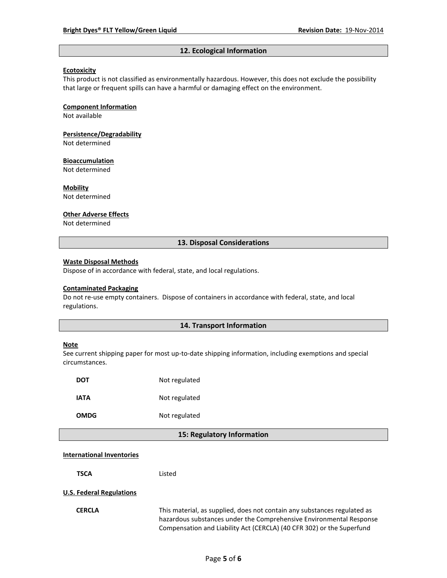#### **12. Ecological Information**

#### **Ecotoxicity**

This product is not classified as environmentally hazardous. However, this does not exclude the possibility that large or frequent spills can have a harmful or damaging effect on the environment.

#### **Component Information**

Not available

# **Persistence/Degradability**

Not determined

#### **Bioaccumulation**

Not determined

#### **Mobility**

Not determined

#### **Other Adverse Effects**

Not determined

#### **13. Disposal Considerations**

#### **Waste Disposal Methods**

Dispose of in accordance with federal, state, and local regulations.

#### **Contaminated Packaging**

Do not re-use empty containers.Dispose of containers in accordance with federal, state, and local regulations.

### **14. Transport Information**

#### **Note**

See current shipping paper for most up-to-date shipping information, including exemptions and special circumstances.

| DOT         | Not regulated |
|-------------|---------------|
| IATA        | Not regulated |
| <b>OMDG</b> | Not regulated |

#### **15: Regulatory Information**

#### **International Inventories**

**TSCA** Listed

#### **U.S. Federal Regulations**

**CERCLA** This material, as supplied, does not contain any substances regulated as hazardous substances under the Comprehensive Environmental Response Compensation and Liability Act (CERCLA) (40 CFR 302) or the Superfund